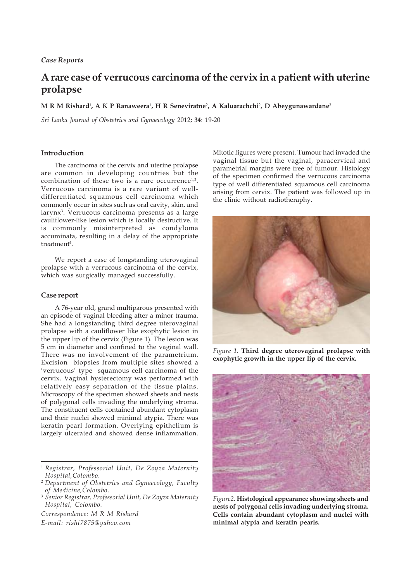# *Case Reports*

# **A rare case of verrucous carcinoma of the cervix in a patient with uterine prolapse**

 ${\bf M}$  **R**  ${\bf M}$  Rishard<sup>1</sup>, A K P Ranaweera<sup>1</sup>, H R Seneviratne<sup>2</sup>, A Kaluarachchi<sup>2</sup>, D Abeygunawardane<sup>3</sup>

*Sri Lanka Journal of Obstetrics and Gynaecology* 2012; **34**: 19-20

## **Introduction**

The carcinoma of the cervix and uterine prolapse are common in developing countries but the combination of these two is a rare occurrence<sup>1,2</sup>. Verrucous carcinoma is a rare variant of welldifferentiated squamous cell carcinoma which commonly occur in sites such as oral cavity, skin, and larynx3. Verrucous carcinoma presents as a large cauliflower-like lesion which is locally destructive. It is commonly misinterpreted as condyloma accuminata, resulting in a delay of the appropriate treatment<sup>4</sup>.

We report a case of longstanding uterovaginal prolapse with a verrucous carcinoma of the cervix, which was surgically managed successfully.

#### **Case report**

A 76-year old, grand multiparous presented with an episode of vaginal bleeding after a minor trauma. She had a longstanding third degree uterovaginal prolapse with a cauliflower like exophytic lesion in the upper lip of the cervix (Figure 1). The lesion was 5 cm in diameter and confined to the vaginal wall. There was no involvement of the parametrium. Excision biopsies from multiple sites showed a 'verrucous' type squamous cell carcinoma of the cervix. Vaginal hysterectomy was performed with relatively easy separation of the tissue plains. Microscopy of the specimen showed sheets and nests of polygonal cells invading the underlying stroma. The constituent cells contained abundant cytoplasm and their nuclei showed minimal atypia. There was keratin pearl formation. Overlying epithelium is largely ulcerated and showed dense inflammation.

*Correspondence: M R M Rishard*

*E-mail: rishi7875@yahoo.com*

Mitotic figures were present. Tumour had invaded the vaginal tissue but the vaginal, paracervical and parametrial margins were free of tumour. Histology of the specimen confirmed the verrucous carcinoma type of well differentiated squamous cell carcinoma arising from cervix. The patient was followed up in the clinic without radiotheraphy.



*Figure 1.* **Third degree uterovaginal prolapse with exophytic growth in the upper lip of the cervix.**



*Figure2.* **Histological appearance showing sheets and nests of polygonal cells invading underlying stroma. Cells contain abundant cytoplasm and nuclei with minimal atypia and keratin pearls.**

<sup>1</sup> *Registrar, Professorial Unit, De Zoyza Maternity Hospital,Colombo.*

<sup>2</sup> *Department of Obstetrics and Gynaecology, Faculty of Medicine,Colombo.*

<sup>3</sup> *Senior Registrar, Professorial Unit, De Zoyza Maternity Hospital, Colombo.*